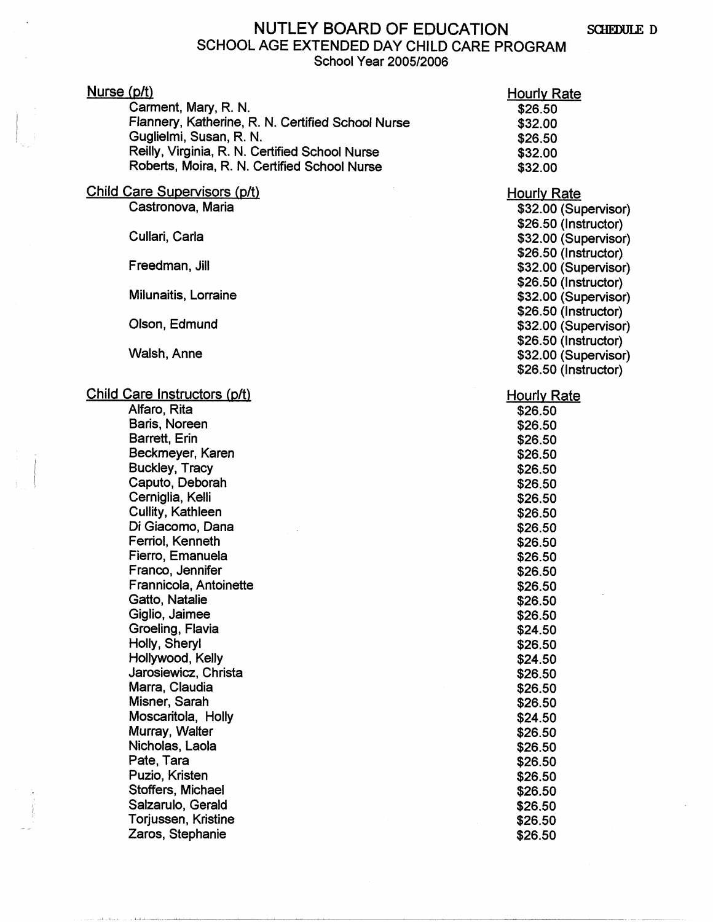## NUTLEY BOARD OF EDUCATION SCHEDULE D SCHOOL AGE EXTENDED DAY CHILD CARE PROGRAM School Year 2005/2006

| Nurse (p/t)<br>Carment, Mary, R. N.<br>Flannery, Katherine, R. N. Certified School Nurse | <b>Hourly Rate</b><br>\$26.50 |
|------------------------------------------------------------------------------------------|-------------------------------|
| Guglielmi, Susan, R. N.                                                                  | \$32.00                       |
| Reilly, Virginia, R. N. Certified School Nurse                                           | \$26.50                       |
| Roberts, Moira, R. N. Certified School Nurse                                             | \$32.00<br>\$32.00            |
|                                                                                          |                               |
| <b>Child Care Supervisors (p/t)</b>                                                      | <b>Hourly Rate</b>            |
| Castronova, Maria                                                                        | \$32.00 (Supervisor)          |
|                                                                                          | \$26.50 (Instructor)          |
| Cullari, Carla                                                                           | \$32.00 (Supervisor)          |
|                                                                                          | \$26.50 (Instructor)          |
| Freedman, Jill                                                                           | \$32.00 (Supervisor)          |
|                                                                                          | \$26.50 (Instructor)          |
| Milunaitis, Lorraine                                                                     | \$32.00 (Supervisor)          |
|                                                                                          | \$26.50 (Instructor)          |
| Olson, Edmund                                                                            | \$32.00 (Supervisor)          |
|                                                                                          | \$26.50 (Instructor)          |
| Walsh, Anne                                                                              | \$32.00 (Supervisor)          |
|                                                                                          | \$26.50 (Instructor)          |
| Child Care Instructors (p/t)                                                             | <b>Hourly Rate</b>            |
| Alfaro, Rita                                                                             | \$26.50                       |
| Baris, Noreen                                                                            | \$26.50                       |
| Barrett, Erin                                                                            | \$26.50                       |
| Beckmeyer, Karen                                                                         | \$26.50                       |
| <b>Buckley, Tracy</b>                                                                    | \$26.50                       |
| Caputo, Deborah                                                                          | \$26.50                       |
| Cerniglia, Kelli                                                                         | \$26.50                       |
| Cullity, Kathleen                                                                        | \$26.50                       |
| Di Giacomo, Dana                                                                         | \$26.50                       |
| Ferriol, Kenneth                                                                         | \$26.50                       |
| Fierro, Emanuela                                                                         | \$26.50                       |
| Franco, Jennifer                                                                         | \$26.50                       |
| Frannicola, Antoinette                                                                   | \$26.50                       |
| Gatto, Natalie                                                                           | \$26.50                       |
| Giglio, Jaimee<br>Groeling, Flavia                                                       | \$26.50                       |
| Holly, Sheryl                                                                            | \$24.50                       |
| Hollywood, Kelly                                                                         | \$26.50                       |
| Jarosiewicz, Christa                                                                     | \$24.50                       |
| Marra, Claudia                                                                           | \$26.50<br>\$26.50            |
| Misner, Sarah                                                                            | \$26.50                       |
| Moscaritola, Holly                                                                       | \$24.50                       |
| Murray, Walter                                                                           | \$26.50                       |
| Nicholas, Laola                                                                          | \$26.50                       |
| Pate, Tara                                                                               | \$26.50                       |
| Puzio, Kristen                                                                           | \$26.50                       |
| Stoffers, Michael                                                                        | \$26.50                       |
| Salzarulo, Gerald                                                                        | \$26.50                       |
| Torjussen, Kristine                                                                      | \$26.50                       |
| Zaros, Stephanie                                                                         | \$26.50                       |

والملاحب وأصالحه وأحاده